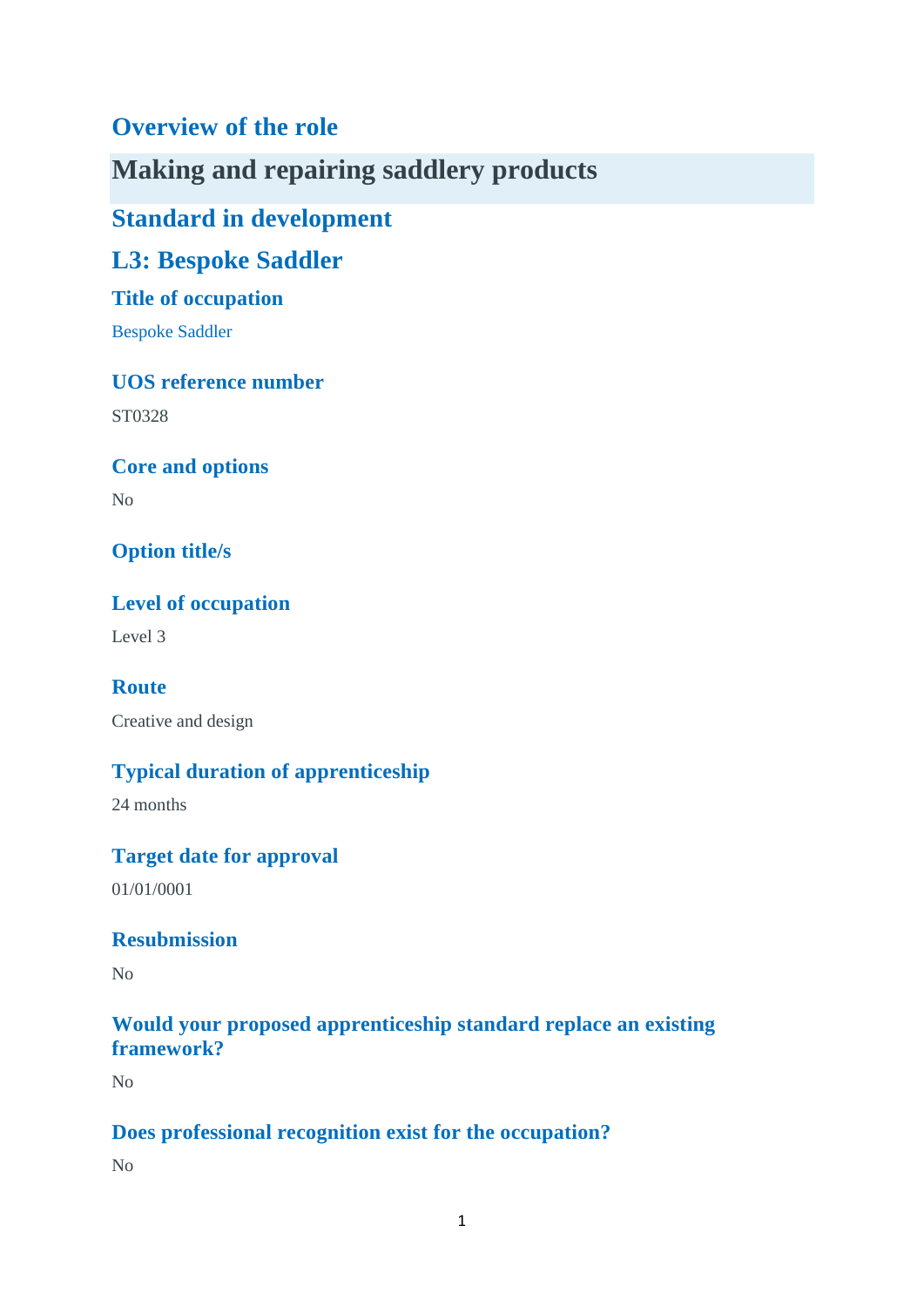# **Overview of the role**

**Making and repairing saddlery products**

**Standard in development**

**L3: Bespoke Saddler**

## **Title of occupation**

Bespoke Saddler

## **UOS reference number**

ST0328

**Core and options**

No

**Option title/s**

**Level of occupation**

Level 3

**Route** Creative and design

## **Typical duration of apprenticeship**

24 months

## **Target date for approval**

01/01/0001

## **Resubmission**

No

## **Would your proposed apprenticeship standard replace an existing framework?**

No

## **Does professional recognition exist for the occupation?**

No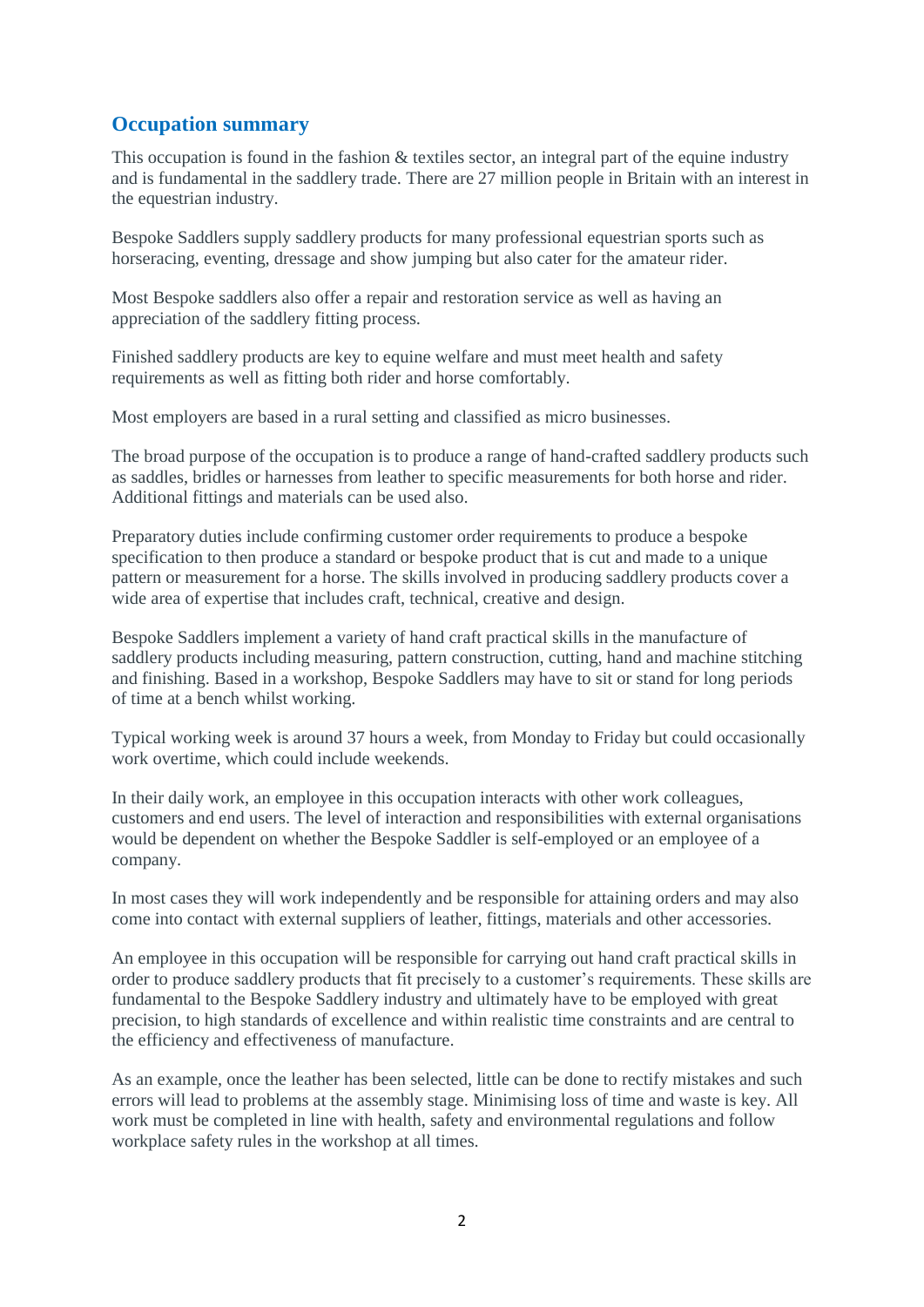## **Occupation summary**

This occupation is found in the fashion & textiles sector, an integral part of the equine industry and is fundamental in the saddlery trade. There are 27 million people in Britain with an interest in the equestrian industry.

Bespoke Saddlers supply saddlery products for many professional equestrian sports such as horseracing, eventing, dressage and show jumping but also cater for the amateur rider.

Most Bespoke saddlers also offer a repair and restoration service as well as having an appreciation of the saddlery fitting process.

Finished saddlery products are key to equine welfare and must meet health and safety requirements as well as fitting both rider and horse comfortably.

Most employers are based in a rural setting and classified as micro businesses.

The broad purpose of the occupation is to produce a range of hand-crafted saddlery products such as saddles, bridles or harnesses from leather to specific measurements for both horse and rider. Additional fittings and materials can be used also.

Preparatory duties include confirming customer order requirements to produce a bespoke specification to then produce a standard or bespoke product that is cut and made to a unique pattern or measurement for a horse. The skills involved in producing saddlery products cover a wide area of expertise that includes craft, technical, creative and design.

Bespoke Saddlers implement a variety of hand craft practical skills in the manufacture of saddlery products including measuring, pattern construction, cutting, hand and machine stitching and finishing. Based in a workshop, Bespoke Saddlers may have to sit or stand for long periods of time at a bench whilst working.

Typical working week is around 37 hours a week, from Monday to Friday but could occasionally work overtime, which could include weekends.

In their daily work, an employee in this occupation interacts with other work colleagues, customers and end users. The level of interaction and responsibilities with external organisations would be dependent on whether the Bespoke Saddler is self-employed or an employee of a company.

In most cases they will work independently and be responsible for attaining orders and may also come into contact with external suppliers of leather, fittings, materials and other accessories.

An employee in this occupation will be responsible for carrying out hand craft practical skills in order to produce saddlery products that fit precisely to a customer's requirements. These skills are fundamental to the Bespoke Saddlery industry and ultimately have to be employed with great precision, to high standards of excellence and within realistic time constraints and are central to the efficiency and effectiveness of manufacture.

As an example, once the leather has been selected, little can be done to rectify mistakes and such errors will lead to problems at the assembly stage. Minimising loss of time and waste is key. All work must be completed in line with health, safety and environmental regulations and follow workplace safety rules in the workshop at all times.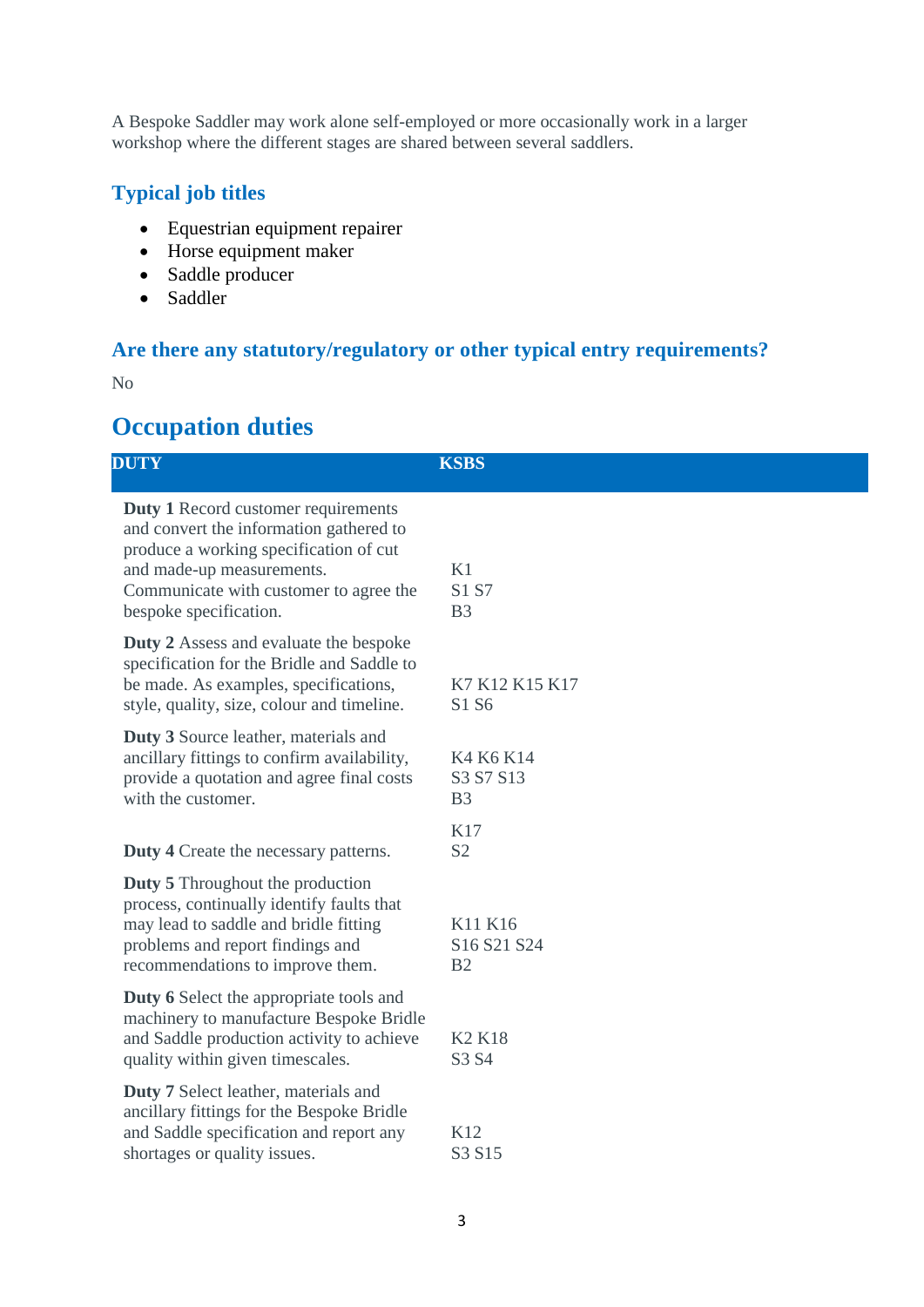A Bespoke Saddler may work alone self-employed or more occasionally work in a larger workshop where the different stages are shared between several saddlers.

## **Typical job titles**

- Equestrian equipment repairer
- Horse equipment maker
- Saddle producer
- Saddler

## **Are there any statutory/regulatory or other typical entry requirements?**

No

# **Occupation duties**

| <b>DUTY</b>                                                                                                                                                                                                                      | <b>KSBS</b>                              |
|----------------------------------------------------------------------------------------------------------------------------------------------------------------------------------------------------------------------------------|------------------------------------------|
| <b>Duty 1</b> Record customer requirements<br>and convert the information gathered to<br>produce a working specification of cut<br>and made-up measurements.<br>Communicate with customer to agree the<br>bespoke specification. | K1<br>S1 S7<br>B <sub>3</sub>            |
| <b>Duty 2</b> Assess and evaluate the bespoke<br>specification for the Bridle and Saddle to<br>be made. As examples, specifications,<br>style, quality, size, colour and timeline.                                               | K7 K12 K15 K17<br>S1 S6                  |
| Duty 3 Source leather, materials and<br>ancillary fittings to confirm availability,<br>provide a quotation and agree final costs<br>with the customer.                                                                           | K4 K6 K14<br>S3 S7 S13<br>B <sub>3</sub> |
| <b>Duty 4</b> Create the necessary patterns.                                                                                                                                                                                     | K17<br>S <sub>2</sub>                    |
| <b>Duty 5</b> Throughout the production<br>process, continually identify faults that<br>may lead to saddle and bridle fitting<br>problems and report findings and<br>recommendations to improve them.                            | K11 K16<br>S16 S21 S24<br>B <sub>2</sub> |
| <b>Duty 6</b> Select the appropriate tools and<br>machinery to manufacture Bespoke Bridle<br>and Saddle production activity to achieve<br>quality within given timescales.                                                       | <b>K2 K18</b><br>S3 S4                   |
| <b>Duty 7</b> Select leather, materials and<br>ancillary fittings for the Bespoke Bridle<br>and Saddle specification and report any<br>shortages or quality issues.                                                              | K12<br>S3 S15                            |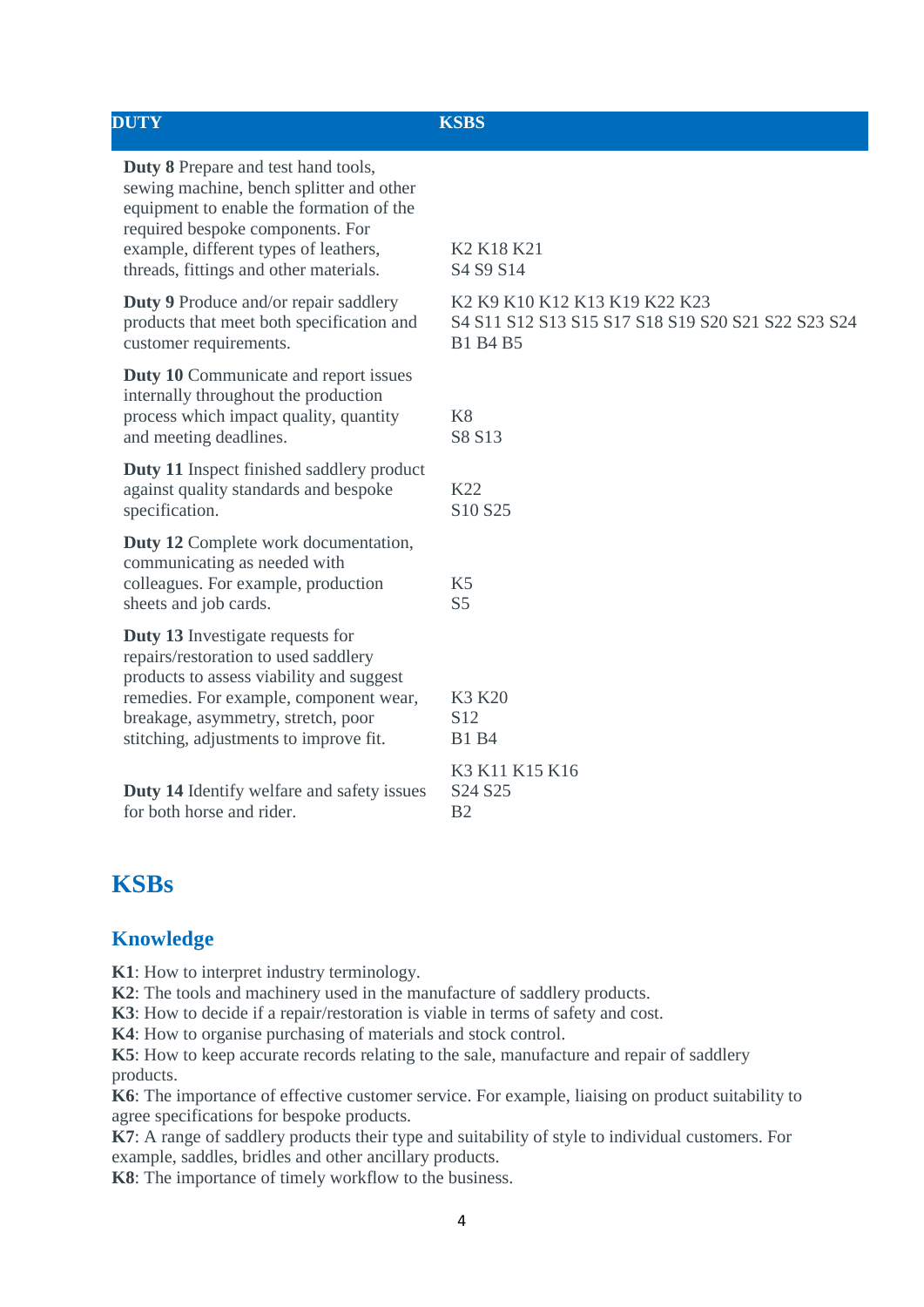| <b>DUTY</b>                                                                                                                                                                                                                                               | <b>KSBS</b>                                                                                            |
|-----------------------------------------------------------------------------------------------------------------------------------------------------------------------------------------------------------------------------------------------------------|--------------------------------------------------------------------------------------------------------|
| <b>Duty 8</b> Prepare and test hand tools,<br>sewing machine, bench splitter and other<br>equipment to enable the formation of the<br>required bespoke components. For<br>example, different types of leathers,<br>threads, fittings and other materials. | K <sub>2</sub> K <sub>18</sub> K <sub>21</sub><br>S4 S9 S14                                            |
| <b>Duty 9</b> Produce and/or repair saddlery<br>products that meet both specification and<br>customer requirements.                                                                                                                                       | K2 K9 K10 K12 K13 K19 K22 K23<br>S4 S11 S12 S13 S15 S17 S18 S19 S20 S21 S22 S23 S24<br><b>B1 B4 B5</b> |
| <b>Duty 10</b> Communicate and report issues<br>internally throughout the production<br>process which impact quality, quantity<br>and meeting deadlines.                                                                                                  | K <sup>8</sup><br>S8 S13                                                                               |
| <b>Duty 11</b> Inspect finished saddlery product<br>against quality standards and bespoke<br>specification.                                                                                                                                               | K22<br>S10 S25                                                                                         |
| Duty 12 Complete work documentation,<br>communicating as needed with<br>colleagues. For example, production<br>sheets and job cards.                                                                                                                      | K <sub>5</sub><br>S <sub>5</sub>                                                                       |
| Duty 13 Investigate requests for<br>repairs/restoration to used saddlery<br>products to assess viability and suggest<br>remedies. For example, component wear,<br>breakage, asymmetry, stretch, poor<br>stitching, adjustments to improve fit.            | K3 K20<br>S <sub>12</sub><br><b>B1</b> B4                                                              |
| <b>Duty 14 Identify welfare and safety issues</b><br>for both horse and rider.                                                                                                                                                                            | K3 K11 K15 K16<br>S <sub>24</sub> S <sub>25</sub><br>B <sub>2</sub>                                    |
|                                                                                                                                                                                                                                                           |                                                                                                        |

## **KSBs**

## **Knowledge**

**K1**: How to interpret industry terminology.

**K2**: The tools and machinery used in the manufacture of saddlery products.

**K3**: How to decide if a repair/restoration is viable in terms of safety and cost.

**K4**: How to organise purchasing of materials and stock control.

**K5**: How to keep accurate records relating to the sale, manufacture and repair of saddlery products.

**K6**: The importance of effective customer service. For example, liaising on product suitability to agree specifications for bespoke products.

**K7**: A range of saddlery products their type and suitability of style to individual customers. For example, saddles, bridles and other ancillary products.

**K8**: The importance of timely workflow to the business.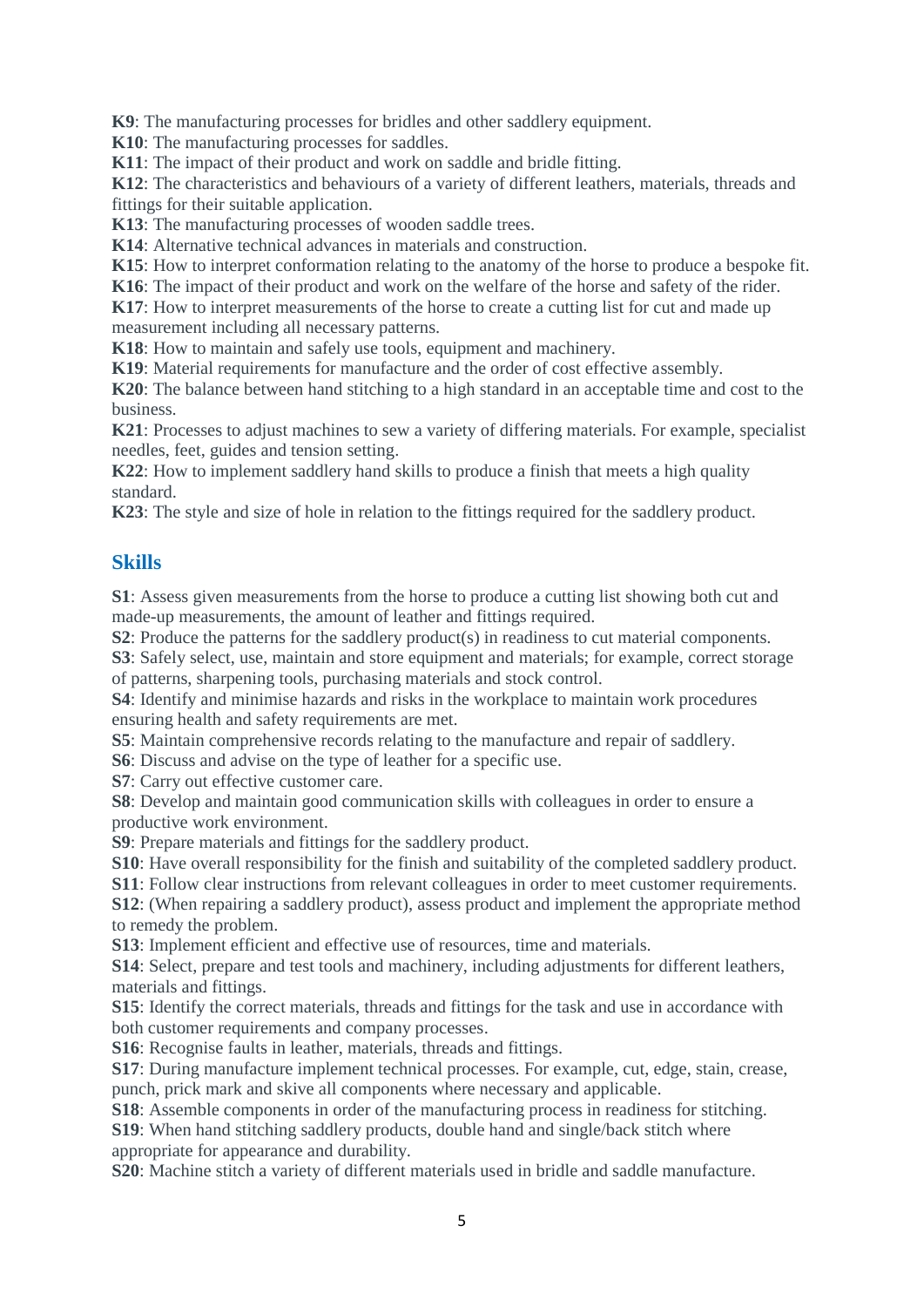**K9**: The manufacturing processes for bridles and other saddlery equipment.

**K10**: The manufacturing processes for saddles.

**K11**: The impact of their product and work on saddle and bridle fitting.

**K12**: The characteristics and behaviours of a variety of different leathers, materials, threads and fittings for their suitable application.

**K13**: The manufacturing processes of wooden saddle trees.

**K14**: Alternative technical advances in materials and construction.

**K15**: How to interpret conformation relating to the anatomy of the horse to produce a bespoke fit.

**K16**: The impact of their product and work on the welfare of the horse and safety of the rider.

**K17**: How to interpret measurements of the horse to create a cutting list for cut and made up measurement including all necessary patterns.

**K18**: How to maintain and safely use tools, equipment and machinery.

**K19**: Material requirements for manufacture and the order of cost effective assembly.

**K20**: The balance between hand stitching to a high standard in an acceptable time and cost to the business.

**K21**: Processes to adjust machines to sew a variety of differing materials. For example, specialist needles, feet, guides and tension setting.

**K22**: How to implement saddlery hand skills to produce a finish that meets a high quality standard.

**K23**: The style and size of hole in relation to the fittings required for the saddlery product.

#### **Skills**

**S1**: Assess given measurements from the horse to produce a cutting list showing both cut and made-up measurements, the amount of leather and fittings required.

**S2**: Produce the patterns for the saddlery product(s) in readiness to cut material components.

**S3**: Safely select, use, maintain and store equipment and materials; for example, correct storage of patterns, sharpening tools, purchasing materials and stock control.

**S4**: Identify and minimise hazards and risks in the workplace to maintain work procedures ensuring health and safety requirements are met.

**S5**: Maintain comprehensive records relating to the manufacture and repair of saddlery.

**S6**: Discuss and advise on the type of leather for a specific use.

**S7**: Carry out effective customer care.

**S8**: Develop and maintain good communication skills with colleagues in order to ensure a productive work environment.

**S9**: Prepare materials and fittings for the saddlery product.

**S10**: Have overall responsibility for the finish and suitability of the completed saddlery product.

**S11**: Follow clear instructions from relevant colleagues in order to meet customer requirements.

**S12**: (When repairing a saddlery product), assess product and implement the appropriate method to remedy the problem.

**S13**: Implement efficient and effective use of resources, time and materials.

**S14**: Select, prepare and test tools and machinery, including adjustments for different leathers, materials and fittings.

**S15**: Identify the correct materials, threads and fittings for the task and use in accordance with both customer requirements and company processes.

**S16**: Recognise faults in leather, materials, threads and fittings.

**S17**: During manufacture implement technical processes. For example, cut, edge, stain, crease, punch, prick mark and skive all components where necessary and applicable.

**S18**: Assemble components in order of the manufacturing process in readiness for stitching.

**S19**: When hand stitching saddlery products, double hand and single/back stitch where appropriate for appearance and durability.

**S20**: Machine stitch a variety of different materials used in bridle and saddle manufacture.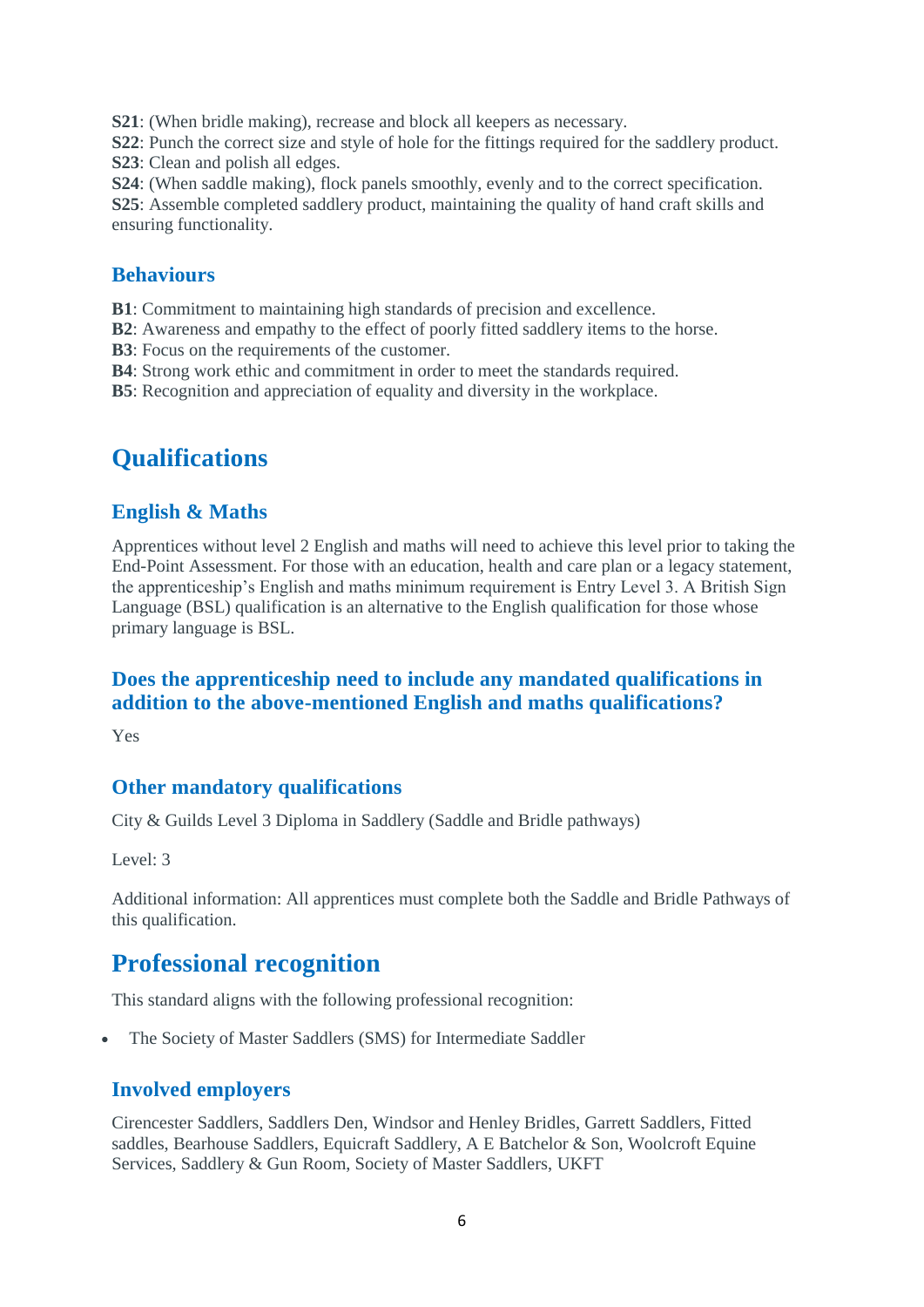**S21**: (When bridle making), recrease and block all keepers as necessary.

**S22**: Punch the correct size and style of hole for the fittings required for the saddlery product. **S23**: Clean and polish all edges.

**S24**: (When saddle making), flock panels smoothly, evenly and to the correct specification.

**S25**: Assemble completed saddlery product, maintaining the quality of hand craft skills and ensuring functionality.

#### **Behaviours**

**B1**: Commitment to maintaining high standards of precision and excellence.

**B2**: Awareness and empathy to the effect of poorly fitted saddlery items to the horse.

**B3**: Focus on the requirements of the customer.

**B4**: Strong work ethic and commitment in order to meet the standards required.

**B5**: Recognition and appreciation of equality and diversity in the workplace.

# **Qualifications**

## **English & Maths**

Apprentices without level 2 English and maths will need to achieve this level prior to taking the End-Point Assessment. For those with an education, health and care plan or a legacy statement, the apprenticeship's English and maths minimum requirement is Entry Level 3. A British Sign Language (BSL) qualification is an alternative to the English qualification for those whose primary language is BSL.

## **Does the apprenticeship need to include any mandated qualifications in addition to the above-mentioned English and maths qualifications?**

Yes

## **Other mandatory qualifications**

City & Guilds Level 3 Diploma in Saddlery (Saddle and Bridle pathways)

Level: 3

Additional information: All apprentices must complete both the Saddle and Bridle Pathways of this qualification.

## **Professional recognition**

This standard aligns with the following professional recognition:

The Society of Master Saddlers (SMS) for Intermediate Saddler

## **Involved employers**

Cirencester Saddlers, Saddlers Den, Windsor and Henley Bridles, Garrett Saddlers, Fitted saddles, Bearhouse Saddlers, Equicraft Saddlery, A E Batchelor & Son, Woolcroft Equine Services, Saddlery & Gun Room, Society of Master Saddlers, UKFT